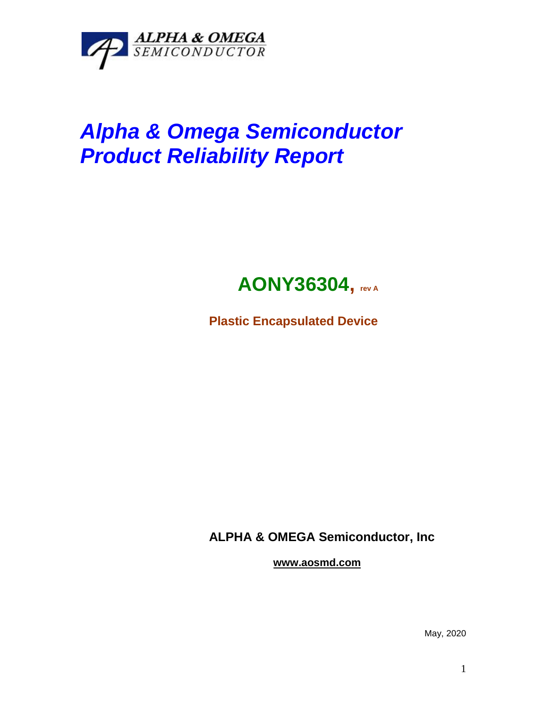

# *Alpha & Omega Semiconductor Product Reliability Report*



**Plastic Encapsulated Device**

**ALPHA & OMEGA Semiconductor, Inc**

**www.aosmd.com**

May, 2020